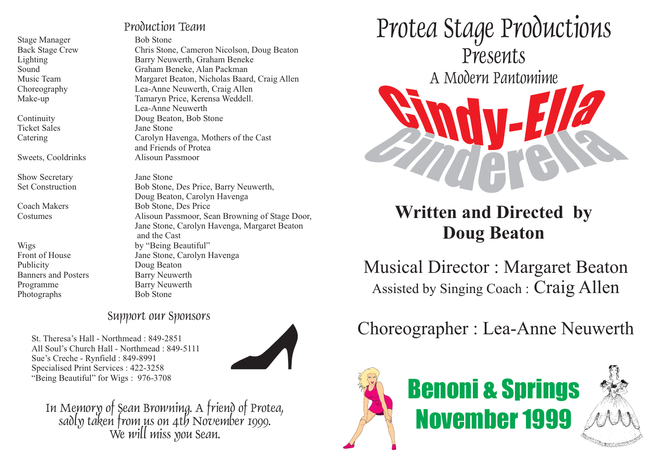Stage Manager Bob Stone

Ticket Sales Jane Stone

Sweets, Cooldrinks Alisoun Passmoor

Show Secretary Jane Stone

Publicity Doug Beaton Banners and Posters Barry Neuwerth Programme Barry Neuwerth Photographs Bob Stone

Production Team

Back Stage Crew Chris Stone, Cameron Nicolson, Doug Beaton Lighting Barry Neuwerth, Graham Beneke Sound Graham Beneke, Alan Packman Music Team Margaret Beaton, Nicholas Baard, Craig Allen Choreography Lea-Anne Neuwerth, Craig Allen Make-up Tamaryn Price, Kerensa Weddell. Lea-Anne NeuwerthContinuity Doug Beaton, Bob Stone Catering Carolyn Havenga, Mothers of the Cast and Friends of Protea

Set Construction Bob Stone, Des Price, Barry Neuwerth, Doug Beaton, Carolyn Havenga Coach Makers Bob Stone, Des Price Costumes Alisoun Passmoor, Sean Browning of Stage Door, Jane Stone, Carolyn Havenga, Margaret Beaton and the CastWigs by "Being Beautiful" Front of House Jane Stone, Carolyn Havenga

# Support our Sponsors

St. Theresa's Hall - Northmead : 849-2851All Soul's Church Hall - Northmead : 849-5111Sue's Creche - Rynfield : 849-8991 Specialised Print Services : 422-3258 "Being Beautiful" for Wigs : 976-3708



In Memory of Sean Browning. A friend of Protea,<br>sadly taken from us on 4th November 1999. We will miss you Sean.



# **Written and Directed by Doug Beaton**

Musical Director : Margaret Beaton Assisted by Singing Coach : Craig Allen

# Choreographer : Lea-Anne Neuwerth